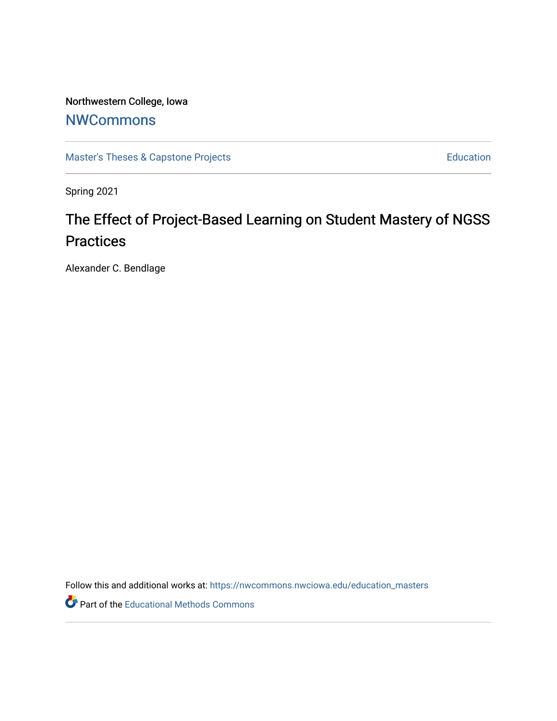Northwestern College, Iowa

## **[NWCommons](https://nwcommons.nwciowa.edu/)**

[Master's Theses & Capstone Projects](https://nwcommons.nwciowa.edu/education_masters) **Education** Education

Spring 2021

# The Effect of Project-Based Learning on Student Mastery of NGSS **Practices**

Alexander C. Bendlage

Follow this and additional works at: [https://nwcommons.nwciowa.edu/education\\_masters](https://nwcommons.nwciowa.edu/education_masters?utm_source=nwcommons.nwciowa.edu%2Feducation_masters%2F271&utm_medium=PDF&utm_campaign=PDFCoverPages)

Part of the [Educational Methods Commons](http://network.bepress.com/hgg/discipline/1227?utm_source=nwcommons.nwciowa.edu%2Feducation_masters%2F271&utm_medium=PDF&utm_campaign=PDFCoverPages)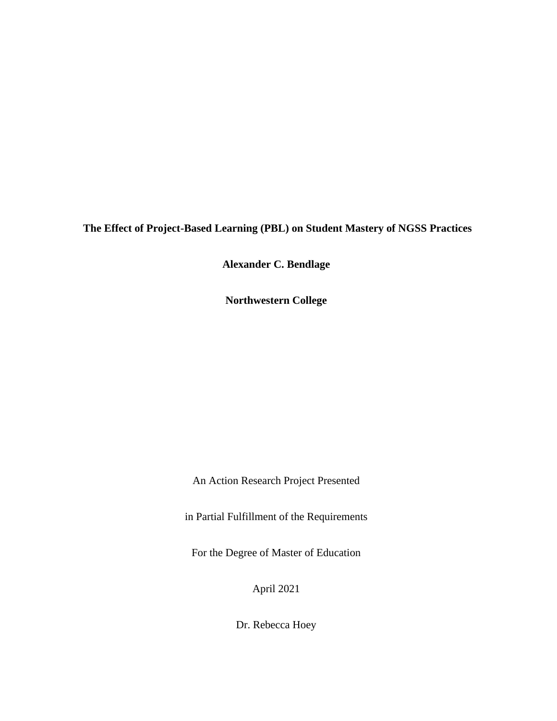**The Effect of Project-Based Learning (PBL) on Student Mastery of NGSS Practices**

**Alexander C. Bendlage**

**Northwestern College**

An Action Research Project Presented

in Partial Fulfillment of the Requirements

For the Degree of Master of Education

April 2021

Dr. Rebecca Hoey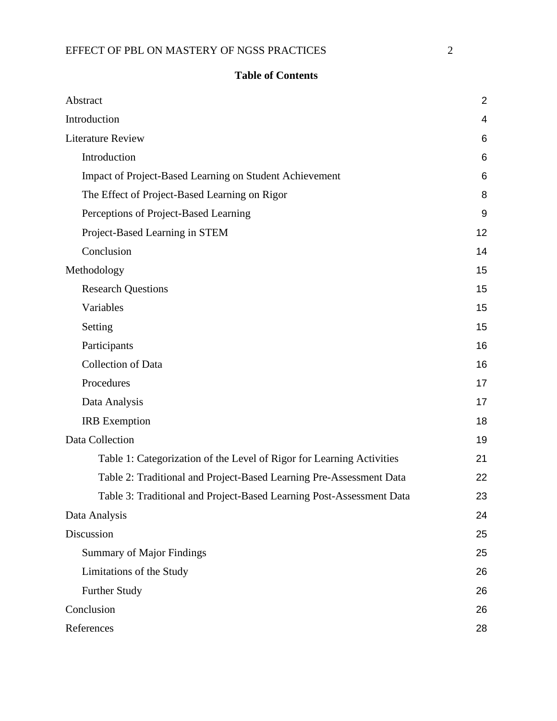| ×<br>۰,<br>I              |  |
|---------------------------|--|
| I<br>I<br>I<br>٦<br>٦<br> |  |
|                           |  |

## **Table of Contents**

<span id="page-2-0"></span>

| Abstract                                                              | $\overline{2}$ |
|-----------------------------------------------------------------------|----------------|
| Introduction                                                          | $\overline{4}$ |
| <b>Literature Review</b>                                              | 6              |
| Introduction                                                          | 6              |
| Impact of Project-Based Learning on Student Achievement               | 6              |
| The Effect of Project-Based Learning on Rigor                         | 8              |
| Perceptions of Project-Based Learning                                 | 9              |
| Project-Based Learning in STEM                                        | 12             |
| Conclusion                                                            | 14             |
| Methodology                                                           | 15             |
| <b>Research Questions</b>                                             | 15             |
| Variables                                                             | 15             |
| Setting                                                               | 15             |
| Participants                                                          | 16             |
| <b>Collection of Data</b>                                             | 16             |
| Procedures                                                            | 17             |
| Data Analysis                                                         | 17             |
| <b>IRB</b> Exemption                                                  | 18             |
| Data Collection                                                       | 19             |
| Table 1: Categorization of the Level of Rigor for Learning Activities | 21             |
| Table 2: Traditional and Project-Based Learning Pre-Assessment Data   | 22             |
| Table 3: Traditional and Project-Based Learning Post-Assessment Data  | 23             |
| Data Analysis                                                         | 24             |
| Discussion                                                            | 25             |
| <b>Summary of Major Findings</b>                                      | 25             |
| Limitations of the Study                                              | 26             |
| Further Study                                                         | 26             |
| Conclusion                                                            | 26             |
| References                                                            | 28             |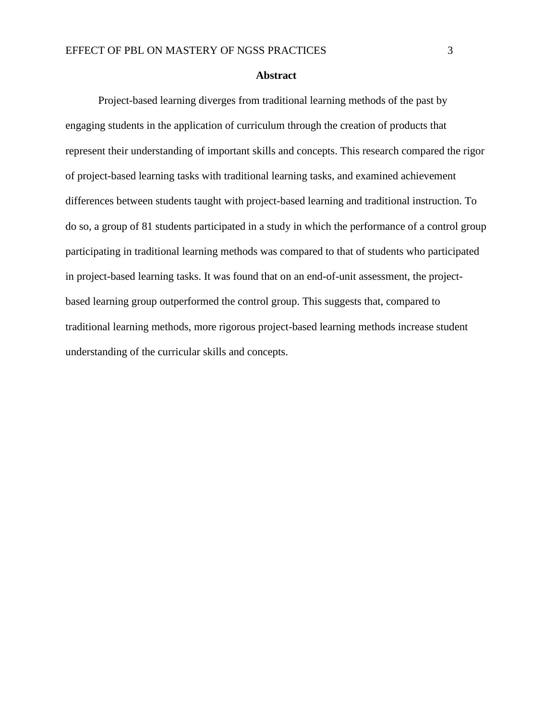#### **Abstract**

Project-based learning diverges from traditional learning methods of the past by engaging students in the application of curriculum through the creation of products that represent their understanding of important skills and concepts. This research compared the rigor of project-based learning tasks with traditional learning tasks, and examined achievement differences between students taught with project-based learning and traditional instruction. To do so, a group of 81 students participated in a study in which the performance of a control group participating in traditional learning methods was compared to that of students who participated in project-based learning tasks. It was found that on an end-of-unit assessment, the projectbased learning group outperformed the control group. This suggests that, compared to traditional learning methods, more rigorous project-based learning methods increase student understanding of the curricular skills and concepts.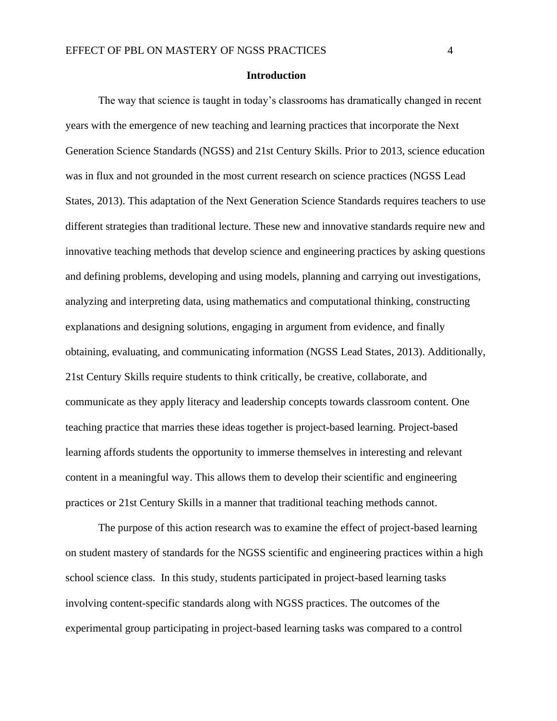#### **Introduction**

<span id="page-4-0"></span>The way that science is taught in today's classrooms has dramatically changed in recent years with the emergence of new teaching and learning practices that incorporate the Next Generation Science Standards (NGSS) and 21st Century Skills. Prior to 2013, science education was in flux and not grounded in the most current research on science practices (NGSS Lead States, 2013). This adaptation of the Next Generation Science Standards requires teachers to use different strategies than traditional lecture. These new and innovative standards require new and innovative teaching methods that develop science and engineering practices by asking questions and defining problems, developing and using models, planning and carrying out investigations, analyzing and interpreting data, using mathematics and computational thinking, constructing explanations and designing solutions, engaging in argument from evidence, and finally obtaining, evaluating, and communicating information (NGSS Lead States, 2013). Additionally, 21st Century Skills require students to think critically, be creative, collaborate, and communicate as they apply literacy and leadership concepts towards classroom content. One teaching practice that marries these ideas together is project-based learning. Project-based learning affords students the opportunity to immerse themselves in interesting and relevant content in a meaningful way. This allows them to develop their scientific and engineering practices or 21st Century Skills in a manner that traditional teaching methods cannot.

The purpose of this action research was to examine the effect of project-based learning on student mastery of standards for the NGSS scientific and engineering practices within a high school science class. In this study, students participated in project-based learning tasks involving content-specific standards along with NGSS practices. The outcomes of the experimental group participating in project-based learning tasks was compared to a control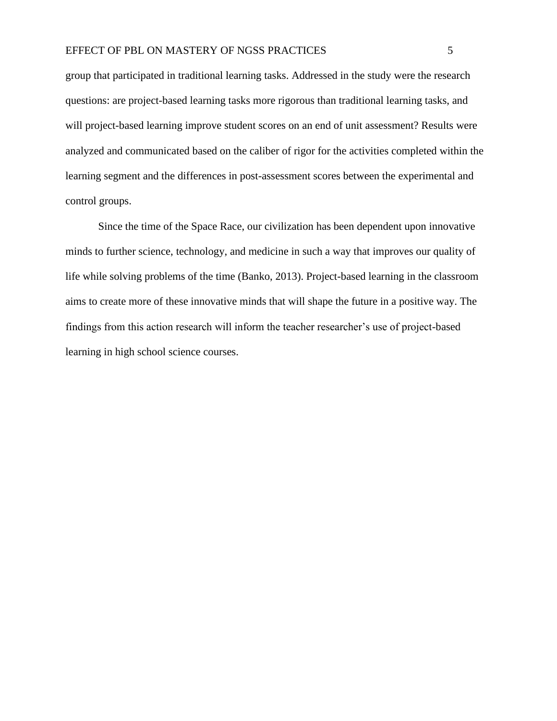#### EFFECT OF PBL ON MASTERY OF NGSS PRACTICES 5

group that participated in traditional learning tasks. Addressed in the study were the research questions: are project-based learning tasks more rigorous than traditional learning tasks, and will project-based learning improve student scores on an end of unit assessment? Results were analyzed and communicated based on the caliber of rigor for the activities completed within the learning segment and the differences in post-assessment scores between the experimental and control groups.

Since the time of the Space Race, our civilization has been dependent upon innovative minds to further science, technology, and medicine in such a way that improves our quality of life while solving problems of the time (Banko, 2013). Project-based learning in the classroom aims to create more of these innovative minds that will shape the future in a positive way. The findings from this action research will inform the teacher researcher's use of project-based learning in high school science courses.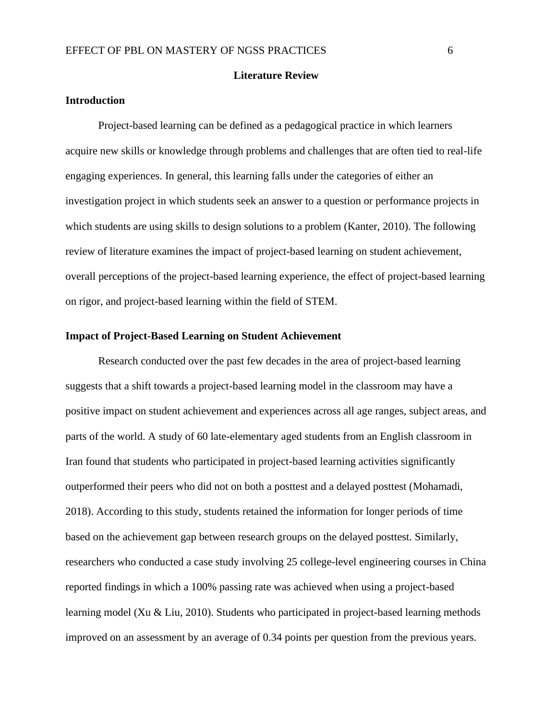#### **Literature Review**

#### <span id="page-6-1"></span><span id="page-6-0"></span>**Introduction**

Project-based learning can be defined as a pedagogical practice in which learners acquire new skills or knowledge through problems and challenges that are often tied to real-life engaging experiences. In general, this learning falls under the categories of either an investigation project in which students seek an answer to a question or performance projects in which students are using skills to design solutions to a problem (Kanter, 2010). The following review of literature examines the impact of project-based learning on student achievement, overall perceptions of the project-based learning experience, the effect of project-based learning on rigor, and project-based learning within the field of STEM.

#### <span id="page-6-2"></span>**Impact of Project-Based Learning on Student Achievement**

Research conducted over the past few decades in the area of project-based learning suggests that a shift towards a project-based learning model in the classroom may have a positive impact on student achievement and experiences across all age ranges, subject areas, and parts of the world. A study of 60 late-elementary aged students from an English classroom in Iran found that students who participated in project-based learning activities significantly outperformed their peers who did not on both a posttest and a delayed posttest (Mohamadi, 2018). According to this study, students retained the information for longer periods of time based on the achievement gap between research groups on the delayed posttest. Similarly, researchers who conducted a case study involving 25 college-level engineering courses in China reported findings in which a 100% passing rate was achieved when using a project-based learning model (Xu & Liu, 2010). Students who participated in project-based learning methods improved on an assessment by an average of 0.34 points per question from the previous years.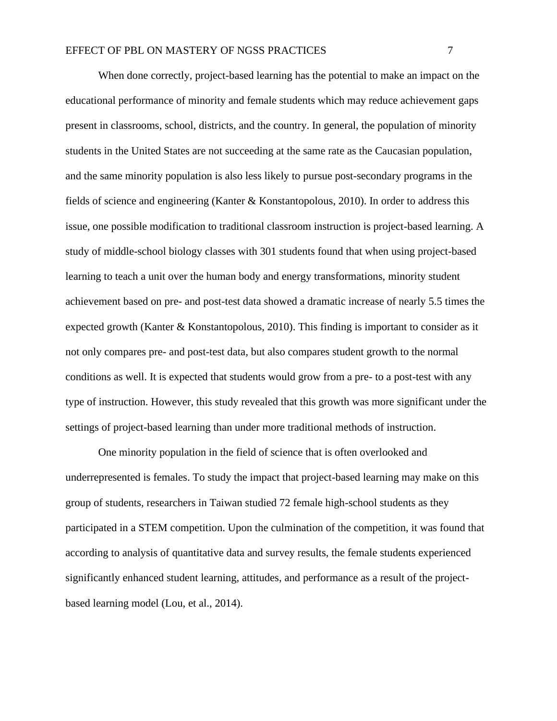When done correctly, project-based learning has the potential to make an impact on the educational performance of minority and female students which may reduce achievement gaps present in classrooms, school, districts, and the country. In general, the population of minority students in the United States are not succeeding at the same rate as the Caucasian population, and the same minority population is also less likely to pursue post-secondary programs in the fields of science and engineering (Kanter & Konstantopolous, 2010). In order to address this issue, one possible modification to traditional classroom instruction is project-based learning. A study of middle-school biology classes with 301 students found that when using project-based learning to teach a unit over the human body and energy transformations, minority student achievement based on pre- and post-test data showed a dramatic increase of nearly 5.5 times the expected growth (Kanter & Konstantopolous, 2010). This finding is important to consider as it not only compares pre- and post-test data, but also compares student growth to the normal conditions as well. It is expected that students would grow from a pre- to a post-test with any type of instruction. However, this study revealed that this growth was more significant under the settings of project-based learning than under more traditional methods of instruction.

One minority population in the field of science that is often overlooked and underrepresented is females. To study the impact that project-based learning may make on this group of students, researchers in Taiwan studied 72 female high-school students as they participated in a STEM competition. Upon the culmination of the competition, it was found that according to analysis of quantitative data and survey results, the female students experienced significantly enhanced student learning, attitudes, and performance as a result of the projectbased learning model (Lou, et al., 2014).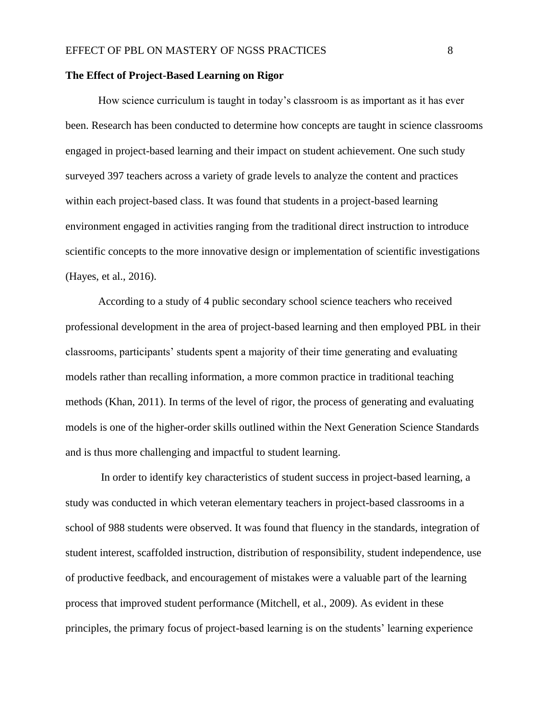#### <span id="page-8-0"></span>**The Effect of Project-Based Learning on Rigor**

How science curriculum is taught in today's classroom is as important as it has ever been. Research has been conducted to determine how concepts are taught in science classrooms engaged in project-based learning and their impact on student achievement. One such study surveyed 397 teachers across a variety of grade levels to analyze the content and practices within each project-based class. It was found that students in a project-based learning environment engaged in activities ranging from the traditional direct instruction to introduce scientific concepts to the more innovative design or implementation of scientific investigations (Hayes, et al., 2016).

According to a study of 4 public secondary school science teachers who received professional development in the area of project-based learning and then employed PBL in their classrooms, participants' students spent a majority of their time generating and evaluating models rather than recalling information, a more common practice in traditional teaching methods (Khan, 2011). In terms of the level of rigor, the process of generating and evaluating models is one of the higher-order skills outlined within the Next Generation Science Standards and is thus more challenging and impactful to student learning.

In order to identify key characteristics of student success in project-based learning, a study was conducted in which veteran elementary teachers in project-based classrooms in a school of 988 students were observed. It was found that fluency in the standards, integration of student interest, scaffolded instruction, distribution of responsibility, student independence, use of productive feedback, and encouragement of mistakes were a valuable part of the learning process that improved student performance (Mitchell, et al., 2009). As evident in these principles, the primary focus of project-based learning is on the students' learning experience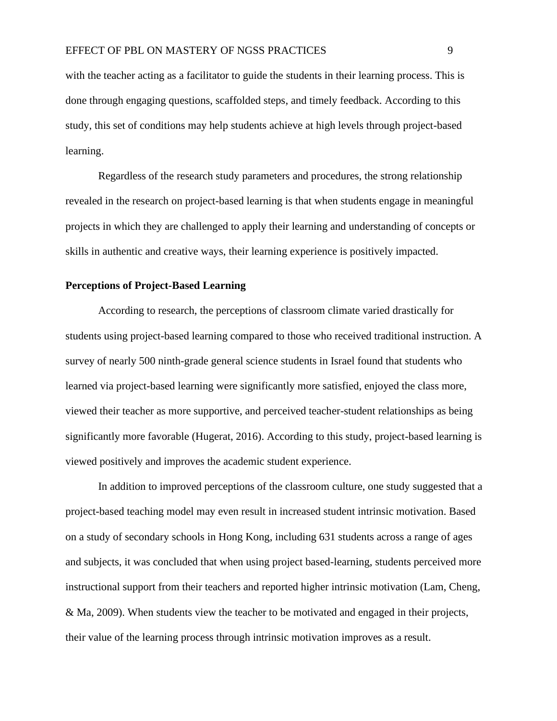with the teacher acting as a facilitator to guide the students in their learning process. This is done through engaging questions, scaffolded steps, and timely feedback. According to this study, this set of conditions may help students achieve at high levels through project-based learning.

Regardless of the research study parameters and procedures, the strong relationship revealed in the research on project-based learning is that when students engage in meaningful projects in which they are challenged to apply their learning and understanding of concepts or skills in authentic and creative ways, their learning experience is positively impacted.

#### <span id="page-9-0"></span>**Perceptions of Project-Based Learning**

According to research, the perceptions of classroom climate varied drastically for students using project-based learning compared to those who received traditional instruction. A survey of nearly 500 ninth-grade general science students in Israel found that students who learned via project-based learning were significantly more satisfied, enjoyed the class more, viewed their teacher as more supportive, and perceived teacher-student relationships as being significantly more favorable (Hugerat, 2016). According to this study, project-based learning is viewed positively and improves the academic student experience.

In addition to improved perceptions of the classroom culture, one study suggested that a project-based teaching model may even result in increased student intrinsic motivation. Based on a study of secondary schools in Hong Kong, including 631 students across a range of ages and subjects, it was concluded that when using project based-learning, students perceived more instructional support from their teachers and reported higher intrinsic motivation (Lam, Cheng, & Ma, 2009). When students view the teacher to be motivated and engaged in their projects, their value of the learning process through intrinsic motivation improves as a result.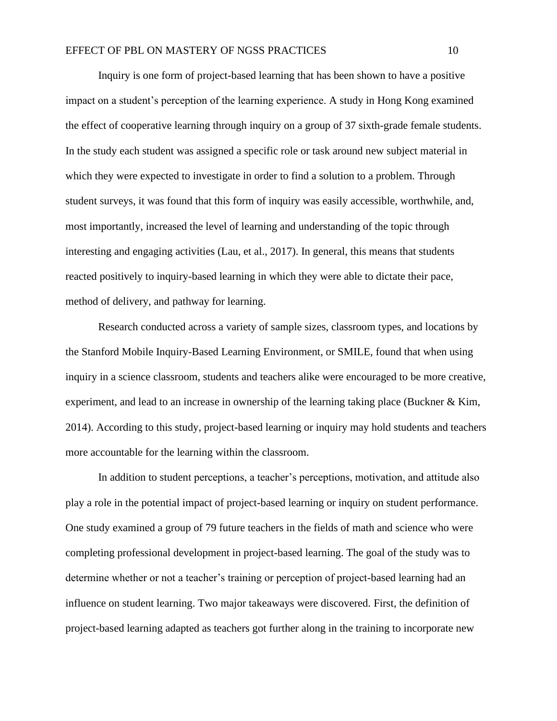Inquiry is one form of project-based learning that has been shown to have a positive impact on a student's perception of the learning experience. A study in Hong Kong examined the effect of cooperative learning through inquiry on a group of 37 sixth-grade female students. In the study each student was assigned a specific role or task around new subject material in which they were expected to investigate in order to find a solution to a problem. Through student surveys, it was found that this form of inquiry was easily accessible, worthwhile, and, most importantly, increased the level of learning and understanding of the topic through interesting and engaging activities (Lau, et al., 2017). In general, this means that students reacted positively to inquiry-based learning in which they were able to dictate their pace, method of delivery, and pathway for learning.

Research conducted across a variety of sample sizes, classroom types, and locations by the Stanford Mobile Inquiry-Based Learning Environment, or SMILE, found that when using inquiry in a science classroom, students and teachers alike were encouraged to be more creative, experiment, and lead to an increase in ownership of the learning taking place (Buckner & Kim, 2014). According to this study, project-based learning or inquiry may hold students and teachers more accountable for the learning within the classroom.

In addition to student perceptions, a teacher's perceptions, motivation, and attitude also play a role in the potential impact of project-based learning or inquiry on student performance. One study examined a group of 79 future teachers in the fields of math and science who were completing professional development in project-based learning. The goal of the study was to determine whether or not a teacher's training or perception of project-based learning had an influence on student learning. Two major takeaways were discovered. First, the definition of project-based learning adapted as teachers got further along in the training to incorporate new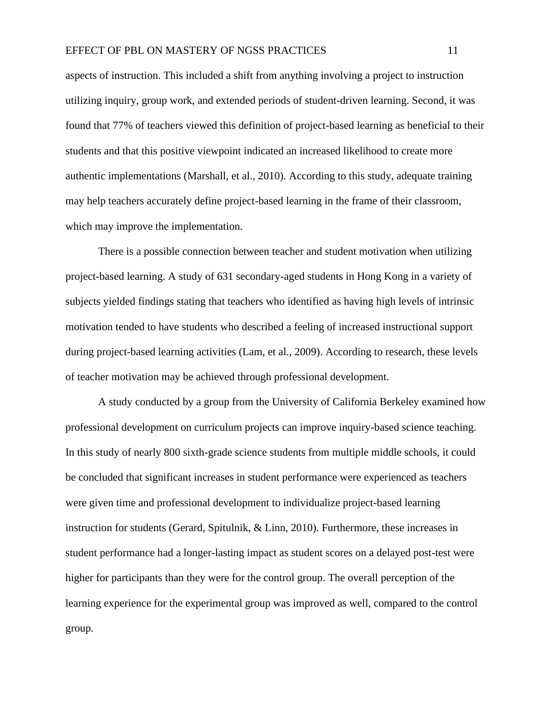aspects of instruction. This included a shift from anything involving a project to instruction utilizing inquiry, group work, and extended periods of student-driven learning. Second, it was found that 77% of teachers viewed this definition of project-based learning as beneficial to their students and that this positive viewpoint indicated an increased likelihood to create more authentic implementations (Marshall, et al., 2010). According to this study, adequate training may help teachers accurately define project-based learning in the frame of their classroom, which may improve the implementation.

There is a possible connection between teacher and student motivation when utilizing project-based learning. A study of 631 secondary-aged students in Hong Kong in a variety of subjects yielded findings stating that teachers who identified as having high levels of intrinsic motivation tended to have students who described a feeling of increased instructional support during project-based learning activities (Lam, et al., 2009). According to research, these levels of teacher motivation may be achieved through professional development.

A study conducted by a group from the University of California Berkeley examined how professional development on curriculum projects can improve inquiry-based science teaching. In this study of nearly 800 sixth-grade science students from multiple middle schools, it could be concluded that significant increases in student performance were experienced as teachers were given time and professional development to individualize project-based learning instruction for students (Gerard, Spitulnik, & Linn, 2010). Furthermore, these increases in student performance had a longer-lasting impact as student scores on a delayed post-test were higher for participants than they were for the control group. The overall perception of the learning experience for the experimental group was improved as well, compared to the control group.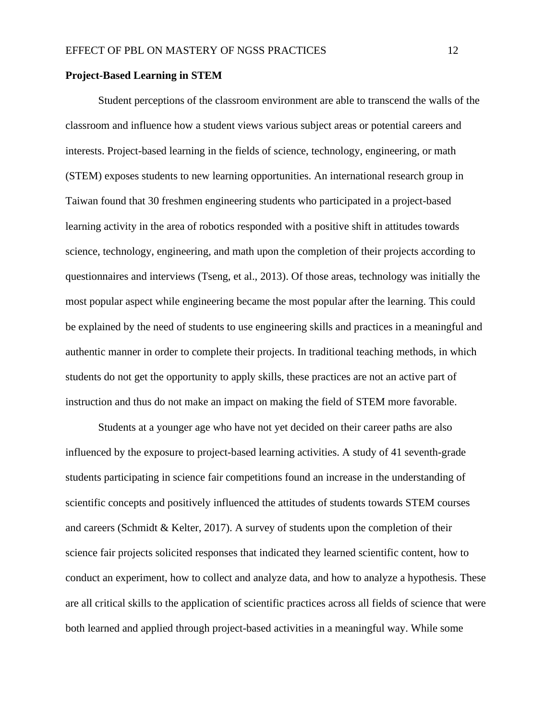#### <span id="page-12-0"></span>**Project-Based Learning in STEM**

Student perceptions of the classroom environment are able to transcend the walls of the classroom and influence how a student views various subject areas or potential careers and interests. Project-based learning in the fields of science, technology, engineering, or math (STEM) exposes students to new learning opportunities. An international research group in Taiwan found that 30 freshmen engineering students who participated in a project-based learning activity in the area of robotics responded with a positive shift in attitudes towards science, technology, engineering, and math upon the completion of their projects according to questionnaires and interviews (Tseng, et al., 2013). Of those areas, technology was initially the most popular aspect while engineering became the most popular after the learning. This could be explained by the need of students to use engineering skills and practices in a meaningful and authentic manner in order to complete their projects. In traditional teaching methods, in which students do not get the opportunity to apply skills, these practices are not an active part of instruction and thus do not make an impact on making the field of STEM more favorable.

Students at a younger age who have not yet decided on their career paths are also influenced by the exposure to project-based learning activities. A study of 41 seventh-grade students participating in science fair competitions found an increase in the understanding of scientific concepts and positively influenced the attitudes of students towards STEM courses and careers (Schmidt & Kelter, 2017). A survey of students upon the completion of their science fair projects solicited responses that indicated they learned scientific content, how to conduct an experiment, how to collect and analyze data, and how to analyze a hypothesis. These are all critical skills to the application of scientific practices across all fields of science that were both learned and applied through project-based activities in a meaningful way. While some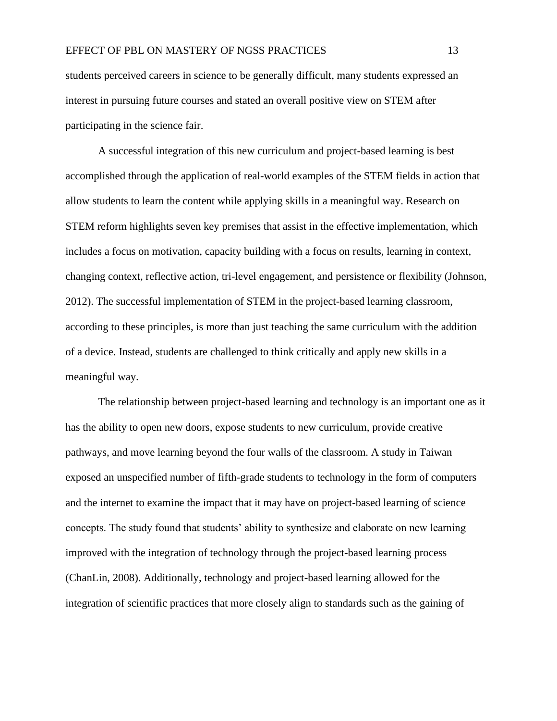students perceived careers in science to be generally difficult, many students expressed an interest in pursuing future courses and stated an overall positive view on STEM after participating in the science fair.

A successful integration of this new curriculum and project-based learning is best accomplished through the application of real-world examples of the STEM fields in action that allow students to learn the content while applying skills in a meaningful way. Research on STEM reform highlights seven key premises that assist in the effective implementation, which includes a focus on motivation, capacity building with a focus on results, learning in context, changing context, reflective action, tri-level engagement, and persistence or flexibility (Johnson, 2012). The successful implementation of STEM in the project-based learning classroom, according to these principles, is more than just teaching the same curriculum with the addition of a device. Instead, students are challenged to think critically and apply new skills in a meaningful way.

The relationship between project-based learning and technology is an important one as it has the ability to open new doors, expose students to new curriculum, provide creative pathways, and move learning beyond the four walls of the classroom. A study in Taiwan exposed an unspecified number of fifth-grade students to technology in the form of computers and the internet to examine the impact that it may have on project-based learning of science concepts. The study found that students' ability to synthesize and elaborate on new learning improved with the integration of technology through the project-based learning process (ChanLin, 2008). Additionally, technology and project-based learning allowed for the integration of scientific practices that more closely align to standards such as the gaining of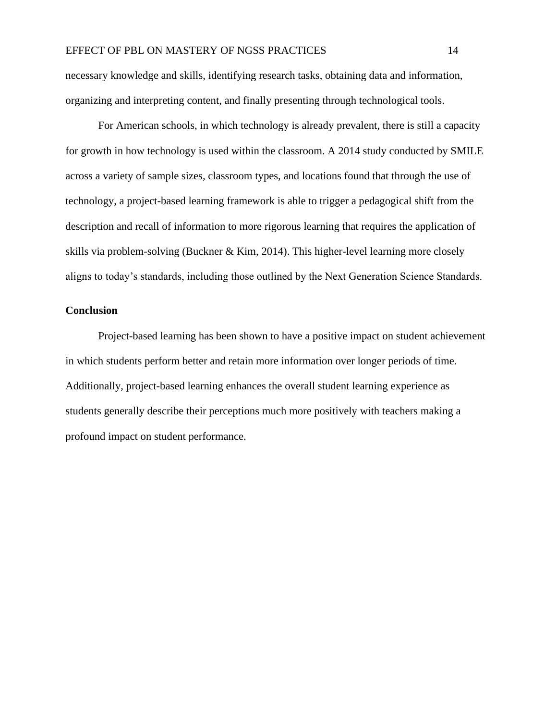necessary knowledge and skills, identifying research tasks, obtaining data and information, organizing and interpreting content, and finally presenting through technological tools.

For American schools, in which technology is already prevalent, there is still a capacity for growth in how technology is used within the classroom. A 2014 study conducted by SMILE across a variety of sample sizes, classroom types, and locations found that through the use of technology, a project-based learning framework is able to trigger a pedagogical shift from the description and recall of information to more rigorous learning that requires the application of skills via problem-solving (Buckner & Kim, 2014). This higher-level learning more closely aligns to today's standards, including those outlined by the Next Generation Science Standards.

#### <span id="page-14-0"></span>**Conclusion**

Project-based learning has been shown to have a positive impact on student achievement in which students perform better and retain more information over longer periods of time. Additionally, project-based learning enhances the overall student learning experience as students generally describe their perceptions much more positively with teachers making a profound impact on student performance.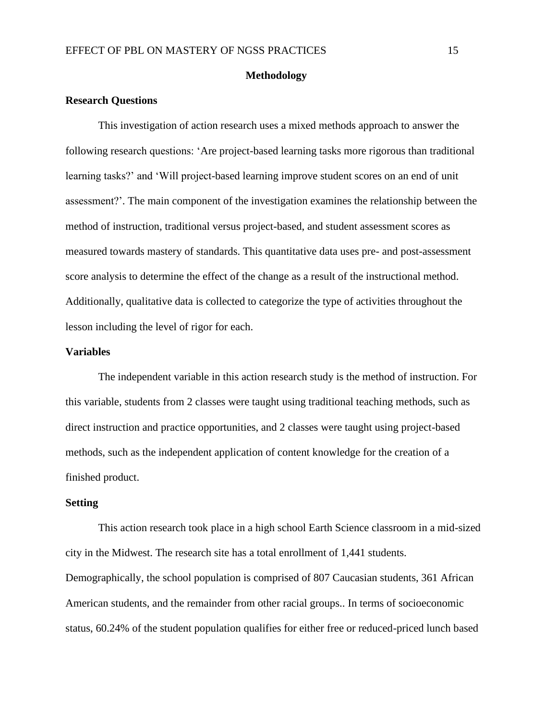#### **Methodology**

#### <span id="page-15-1"></span><span id="page-15-0"></span>**Research Questions**

This investigation of action research uses a mixed methods approach to answer the following research questions: 'Are project-based learning tasks more rigorous than traditional learning tasks?' and 'Will project-based learning improve student scores on an end of unit assessment?'. The main component of the investigation examines the relationship between the method of instruction, traditional versus project-based, and student assessment scores as measured towards mastery of standards. This quantitative data uses pre- and post-assessment score analysis to determine the effect of the change as a result of the instructional method. Additionally, qualitative data is collected to categorize the type of activities throughout the lesson including the level of rigor for each.

#### <span id="page-15-2"></span>**Variables**

The independent variable in this action research study is the method of instruction. For this variable, students from 2 classes were taught using traditional teaching methods, such as direct instruction and practice opportunities, and 2 classes were taught using project-based methods, such as the independent application of content knowledge for the creation of a finished product.

#### <span id="page-15-3"></span>**Setting**

This action research took place in a high school Earth Science classroom in a mid-sized city in the Midwest. The research site has a total enrollment of 1,441 students. Demographically, the school population is comprised of 807 Caucasian students, 361 African American students, and the remainder from other racial groups.. In terms of socioeconomic status, 60.24% of the student population qualifies for either free or reduced-priced lunch based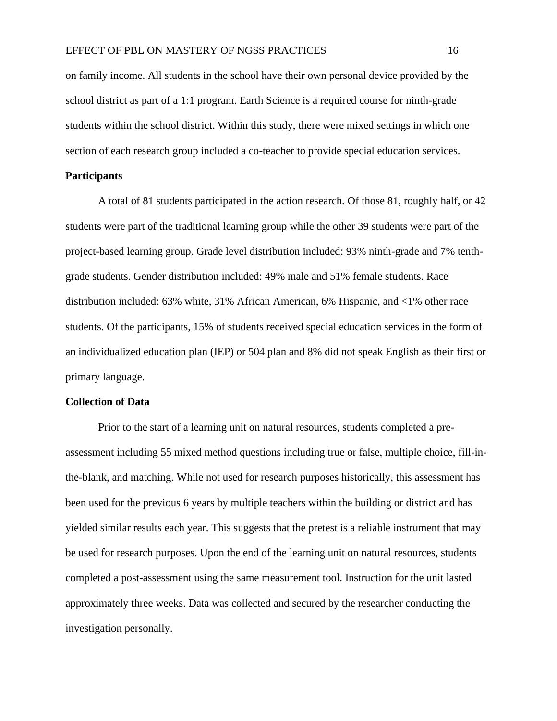on family income. All students in the school have their own personal device provided by the school district as part of a 1:1 program. Earth Science is a required course for ninth-grade students within the school district. Within this study, there were mixed settings in which one section of each research group included a co-teacher to provide special education services.

#### <span id="page-16-0"></span>**Participants**

A total of 81 students participated in the action research. Of those 81, roughly half, or 42 students were part of the traditional learning group while the other 39 students were part of the project-based learning group. Grade level distribution included: 93% ninth-grade and 7% tenthgrade students. Gender distribution included: 49% male and 51% female students. Race distribution included: 63% white, 31% African American, 6% Hispanic, and <1% other race students. Of the participants, 15% of students received special education services in the form of an individualized education plan (IEP) or 504 plan and 8% did not speak English as their first or primary language.

#### <span id="page-16-1"></span>**Collection of Data**

Prior to the start of a learning unit on natural resources, students completed a preassessment including 55 mixed method questions including true or false, multiple choice, fill-inthe-blank, and matching. While not used for research purposes historically, this assessment has been used for the previous 6 years by multiple teachers within the building or district and has yielded similar results each year. This suggests that the pretest is a reliable instrument that may be used for research purposes. Upon the end of the learning unit on natural resources, students completed a post-assessment using the same measurement tool. Instruction for the unit lasted approximately three weeks. Data was collected and secured by the researcher conducting the investigation personally.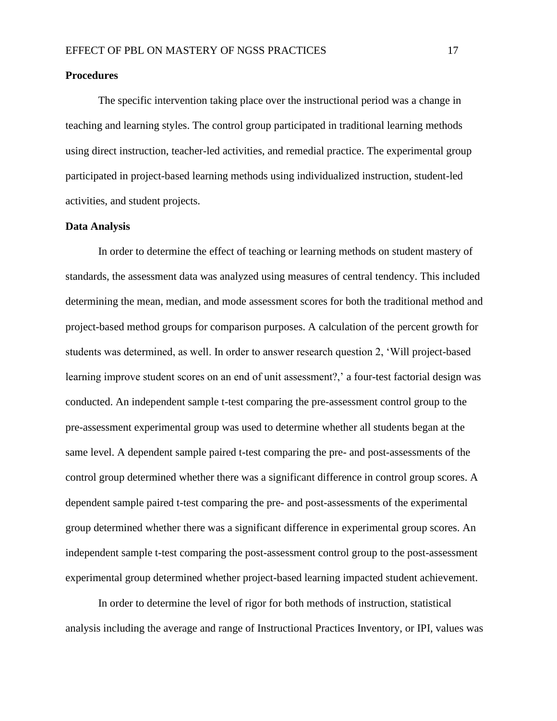#### <span id="page-17-0"></span>**Procedures**

The specific intervention taking place over the instructional period was a change in teaching and learning styles. The control group participated in traditional learning methods using direct instruction, teacher-led activities, and remedial practice. The experimental group participated in project-based learning methods using individualized instruction, student-led activities, and student projects.

#### <span id="page-17-1"></span>**Data Analysis**

In order to determine the effect of teaching or learning methods on student mastery of standards, the assessment data was analyzed using measures of central tendency. This included determining the mean, median, and mode assessment scores for both the traditional method and project-based method groups for comparison purposes. A calculation of the percent growth for students was determined, as well. In order to answer research question 2, 'Will project-based learning improve student scores on an end of unit assessment?,' a four-test factorial design was conducted. An independent sample t-test comparing the pre-assessment control group to the pre-assessment experimental group was used to determine whether all students began at the same level. A dependent sample paired t-test comparing the pre- and post-assessments of the control group determined whether there was a significant difference in control group scores. A dependent sample paired t-test comparing the pre- and post-assessments of the experimental group determined whether there was a significant difference in experimental group scores. An independent sample t-test comparing the post-assessment control group to the post-assessment experimental group determined whether project-based learning impacted student achievement.

In order to determine the level of rigor for both methods of instruction, statistical analysis including the average and range of Instructional Practices Inventory, or IPI, values was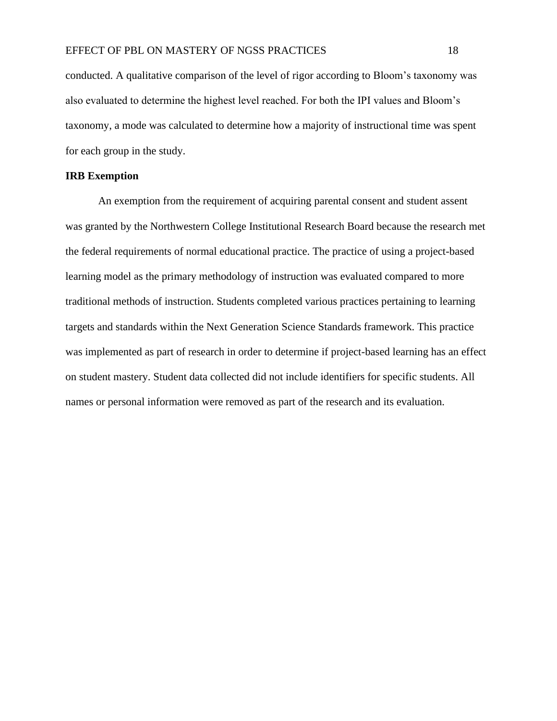conducted. A qualitative comparison of the level of rigor according to Bloom's taxonomy was also evaluated to determine the highest level reached. For both the IPI values and Bloom's taxonomy, a mode was calculated to determine how a majority of instructional time was spent for each group in the study.

#### <span id="page-18-0"></span>**IRB Exemption**

An exemption from the requirement of acquiring parental consent and student assent was granted by the Northwestern College Institutional Research Board because the research met the federal requirements of normal educational practice. The practice of using a project-based learning model as the primary methodology of instruction was evaluated compared to more traditional methods of instruction. Students completed various practices pertaining to learning targets and standards within the Next Generation Science Standards framework. This practice was implemented as part of research in order to determine if project-based learning has an effect on student mastery. Student data collected did not include identifiers for specific students. All names or personal information were removed as part of the research and its evaluation.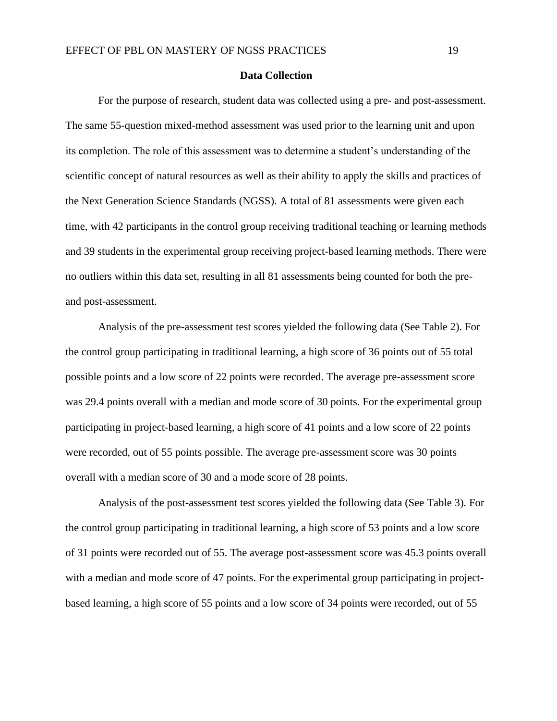#### **Data Collection**

<span id="page-19-0"></span>For the purpose of research, student data was collected using a pre- and post-assessment. The same 55-question mixed-method assessment was used prior to the learning unit and upon its completion. The role of this assessment was to determine a student's understanding of the scientific concept of natural resources as well as their ability to apply the skills and practices of the Next Generation Science Standards (NGSS). A total of 81 assessments were given each time, with 42 participants in the control group receiving traditional teaching or learning methods and 39 students in the experimental group receiving project-based learning methods. There were no outliers within this data set, resulting in all 81 assessments being counted for both the preand post-assessment.

Analysis of the pre-assessment test scores yielded the following data (See Table 2). For the control group participating in traditional learning, a high score of 36 points out of 55 total possible points and a low score of 22 points were recorded. The average pre-assessment score was 29.4 points overall with a median and mode score of 30 points. For the experimental group participating in project-based learning, a high score of 41 points and a low score of 22 points were recorded, out of 55 points possible. The average pre-assessment score was 30 points overall with a median score of 30 and a mode score of 28 points.

Analysis of the post-assessment test scores yielded the following data (See Table 3). For the control group participating in traditional learning, a high score of 53 points and a low score of 31 points were recorded out of 55. The average post-assessment score was 45.3 points overall with a median and mode score of 47 points. For the experimental group participating in projectbased learning, a high score of 55 points and a low score of 34 points were recorded, out of 55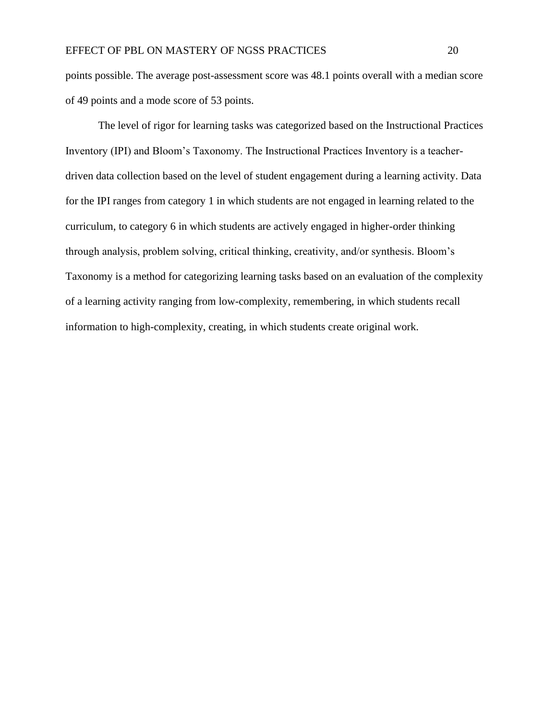points possible. The average post-assessment score was 48.1 points overall with a median score of 49 points and a mode score of 53 points.

The level of rigor for learning tasks was categorized based on the Instructional Practices Inventory (IPI) and Bloom's Taxonomy. The Instructional Practices Inventory is a teacherdriven data collection based on the level of student engagement during a learning activity. Data for the IPI ranges from category 1 in which students are not engaged in learning related to the curriculum, to category 6 in which students are actively engaged in higher-order thinking through analysis, problem solving, critical thinking, creativity, and/or synthesis. Bloom's Taxonomy is a method for categorizing learning tasks based on an evaluation of the complexity of a learning activity ranging from low-complexity, remembering, in which students recall information to high-complexity, creating, in which students create original work.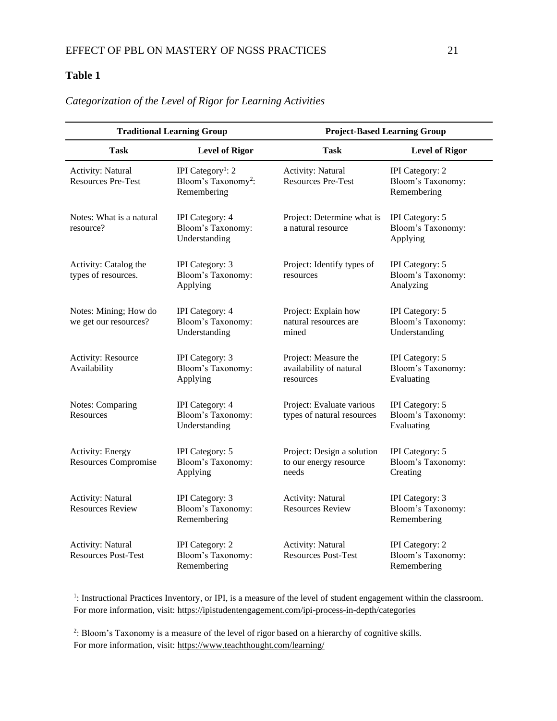#### <span id="page-21-0"></span>**Table 1**

| <b>Traditional Learning Group</b>                      |                                                                                 | <b>Project-Based Learning Group</b>                           |                                                       |  |  |
|--------------------------------------------------------|---------------------------------------------------------------------------------|---------------------------------------------------------------|-------------------------------------------------------|--|--|
| <b>Task</b>                                            | <b>Level of Rigor</b>                                                           | <b>Task</b>                                                   | <b>Level of Rigor</b>                                 |  |  |
| Activity: Natural<br><b>Resources Pre-Test</b>         | IPI Category <sup>1</sup> : 2<br>Bloom's Taxonomy <sup>2</sup> :<br>Remembering | Activity: Natural<br><b>Resources Pre-Test</b>                | IPI Category: 2<br>Bloom's Taxonomy:<br>Remembering   |  |  |
| Notes: What is a natural<br>resource?                  | IPI Category: 4<br>Bloom's Taxonomy:<br>Understanding                           | Project: Determine what is<br>a natural resource              | IPI Category: 5<br>Bloom's Taxonomy:<br>Applying      |  |  |
| Activity: Catalog the<br>types of resources.           | IPI Category: 3<br>Bloom's Taxonomy:<br>Applying                                | Project: Identify types of<br>resources                       | IPI Category: 5<br>Bloom's Taxonomy:<br>Analyzing     |  |  |
| Notes: Mining; How do<br>we get our resources?         | IPI Category: 4<br>Bloom's Taxonomy:<br>Understanding                           | Project: Explain how<br>natural resources are<br>mined        | IPI Category: 5<br>Bloom's Taxonomy:<br>Understanding |  |  |
| <b>Activity: Resource</b><br>Availability              | IPI Category: 3<br>Bloom's Taxonomy:<br>Applying                                | Project: Measure the<br>availability of natural<br>resources  | IPI Category: 5<br>Bloom's Taxonomy:<br>Evaluating    |  |  |
| <b>Notes: Comparing</b><br>Resources                   | IPI Category: 4<br>Bloom's Taxonomy:<br>Understanding                           | Project: Evaluate various<br>types of natural resources       | IPI Category: 5<br>Bloom's Taxonomy:<br>Evaluating    |  |  |
| Activity: Energy<br><b>Resources Compromise</b>        | IPI Category: 5<br>Bloom's Taxonomy:<br>Applying                                | Project: Design a solution<br>to our energy resource<br>needs | IPI Category: 5<br>Bloom's Taxonomy:<br>Creating      |  |  |
| <b>Activity: Natural</b><br><b>Resources Review</b>    | IPI Category: 3<br>Bloom's Taxonomy:<br>Remembering                             | <b>Activity: Natural</b><br><b>Resources Review</b>           | IPI Category: 3<br>Bloom's Taxonomy:<br>Remembering   |  |  |
| <b>Activity: Natural</b><br><b>Resources Post-Test</b> | IPI Category: 2<br>Bloom's Taxonomy:<br>Remembering                             | Activity: Natural<br><b>Resources Post-Test</b>               | IPI Category: 2<br>Bloom's Taxonomy:<br>Remembering   |  |  |

#### <span id="page-21-1"></span>*Categorization of the Level of Rigor for Learning Activities*

1 : Instructional Practices Inventory, or IPI, is a measure of the level of student engagement within the classroom. For more information, visit:<https://ipistudentengagement.com/ipi-process-in-depth/categories>

2 : Bloom's Taxonomy is a measure of the level of rigor based on a hierarchy of cognitive skills. For more information, visit: [https://www.teachthought.com/learning/](https://www.teachthought.com/learning/what-is-blooms-taxonomy-a-definition-for-teachers/)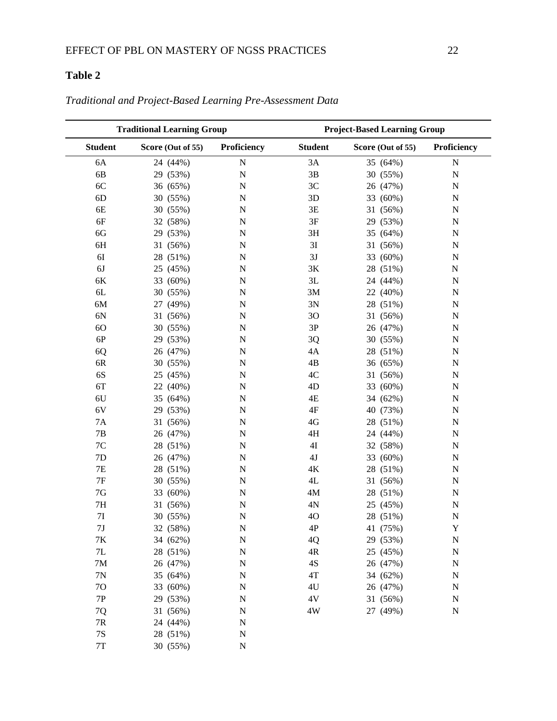## <span id="page-22-0"></span>**Table 2**

| <b>Traditional Learning Group</b> |                   |             | <b>Project-Based Learning Group</b> |                   |             |
|-----------------------------------|-------------------|-------------|-------------------------------------|-------------------|-------------|
| <b>Student</b>                    | Score (Out of 55) | Proficiency | <b>Student</b>                      | Score (Out of 55) | Proficiency |
| 6A                                | 24 (44%)          | ${\bf N}$   | 3A                                  | 35 (64%)          | ${\bf N}$   |
| 6B                                | 29 (53%)          | ${\bf N}$   | $3\mathrm{B}$                       | 30 (55%)          | ${\bf N}$   |
| 6C                                | 36 (65%)          | ${\bf N}$   | 3C                                  | 26 (47%)          | ${\bf N}$   |
| 6D                                | 30 (55%)          | $\mathbf N$ | 3D                                  | 33 (60%)          | $\mathbf N$ |
| 6E                                | 30 (55%)          | ${\bf N}$   | 3E                                  | 31 (56%)          | ${\bf N}$   |
| 6F                                | 32 (58%)          | ${\bf N}$   | $3F$                                | 29 (53%)          | ${\bf N}$   |
| 6G                                | 29 (53%)          | $\mathbf N$ | 3H                                  | 35 (64%)          | $\mathbf N$ |
| 6H                                | 31 (56%)          | ${\bf N}$   | 3I                                  | 31 (56%)          | ${\bf N}$   |
| 6I                                | 28 (51%)          | ${\bf N}$   | 3J                                  | 33 (60%)          | $\mathbf N$ |
| 6J                                | 25 (45%)          | $\mathbf N$ | $3K$                                | 28 (51%)          | $\mathbf N$ |
| 6K                                | 33 (60%)          | ${\bf N}$   | 3L                                  | 24 (44%)          | ${\bf N}$   |
| 6L                                | 30 (55%)          | ${\bf N}$   | 3M                                  | 22 (40%)          | $\mathbf N$ |
| 6M                                | (49%)<br>27       | ${\bf N}$   | 3N                                  | 28 (51%)          | $\mathbf N$ |
| 6N                                | 31 (56%)          | ${\bf N}$   | 3O                                  | 31 (56%)          | ${\bf N}$   |
| 6O                                | 30 (55%)          | ${\bf N}$   | 3P                                  | 26 (47%)          | ${\bf N}$   |
| $6P$                              | 29 (53%)          | ${\bf N}$   | 3Q                                  | 30 (55%)          | $\mathbf N$ |
| 6Q                                | 26 (47%)          | $\mathbf N$ | 4A                                  | 28 (51%)          | $\mathbf N$ |
| $6R$                              | 30 (55%)          | ${\bf N}$   | 4B                                  | 36 (65%)          | ${\bf N}$   |
| 6S                                | 25 (45%)          | $\mathbf N$ | $4\mathrm{C}$                       | 31 (56%)          | $\mathbf N$ |
| 6T                                | 22 (40%)          | $\mathbf N$ | 4D                                  | 33 (60%)          | ${\bf N}$   |
| 6U                                | 35 (64%)          | ${\bf N}$   | $4E$                                | 34 (62%)          | ${\bf N}$   |
| 6V                                | (53%)<br>29       | ${\bf N}$   | $4\mathrm{F}$                       | 40 (73%)          | ${\bf N}$   |
| <b>7A</b>                         | 31<br>(56%)       | $\mathbf N$ | 4G                                  | 28 (51%)          | N           |
| 7B                                | 26 (47%)          | ${\bf N}$   | 4H                                  | 24 (44%)          | ${\bf N}$   |
| 7C                                | 28 (51%)          | ${\bf N}$   | 4I                                  | 32 (58%)          | $\mathbf N$ |
| 7D                                | 26 (47%)          | $\mathbf N$ | $4J$                                | 33 (60%)          | $\mathbf N$ |
| 7E                                | 28 (51%)          | ${\bf N}$   | $4K$                                | 28 (51%)          | $\mathbf N$ |
| $7\mathrm{F}$                     | 30 (55%)          | ${\bf N}$   | 4L                                  | 31 (56%)          | $\mathbf N$ |
| $7\mathrm{G}$                     | 33 (60%)          | $\mathbf N$ | $4\mathrm{M}$                       | 28 (51%)          | $\mathbf N$ |
| $7\mathrm{H}$                     | 31 (56%)          | ${\bf N}$   | 4N                                  | 25 (45%)          | ${\bf N}$   |
| $7\mathrm{I}$                     | 30 (55%)          | $\mathbf N$ | 4O                                  | 28 (51%)          | $\mathbf N$ |
| 7 <sub>J</sub>                    | 32 (58%)          | N           | 4P                                  | 41 (75%)          | Y           |
| 7K                                | 34 (62%)          | N           | 4Q                                  | 29 (53%)          | N           |
| $7\mathsf{L}$                     | 28 (51%)          | N           | 4R                                  | 25 (45%)          | N           |
| 7M                                | 26 (47%)          | $\mathbf N$ | $4\mathrm{S}$                       | 26 (47%)          | $\mathbf N$ |
| $7\mathrm{N}$                     | 35 (64%)          | ${\bf N}$   | $4\mathrm{T}$                       | 34 (62%)          | N           |
| 7O                                | 33 (60%)          | ${\bf N}$   | 4U                                  | 26 (47%)          | $\mathbf N$ |
| $7\mathrm{P}$                     | 29 (53%)          | $\mathbf N$ | $4\mathrm{V}$                       | 31 (56%)          | $\mathbf N$ |
| 7Q                                | 31 (56%)          | $\mathbf N$ | $4\mathrm{W}$                       | 27 (49%)          | $\mathbf N$ |
| $7\mathrm{R}$                     | 24 (44%)          | ${\bf N}$   |                                     |                   |             |
| $7\mathrm{S}$                     | 28 (51%)          | ${\bf N}$   |                                     |                   |             |
| $7\mathrm{T}$                     | 30 (55%)          | ${\bf N}$   |                                     |                   |             |

<span id="page-22-1"></span>*Traditional and Project-Based Learning Pre-Assessment Data*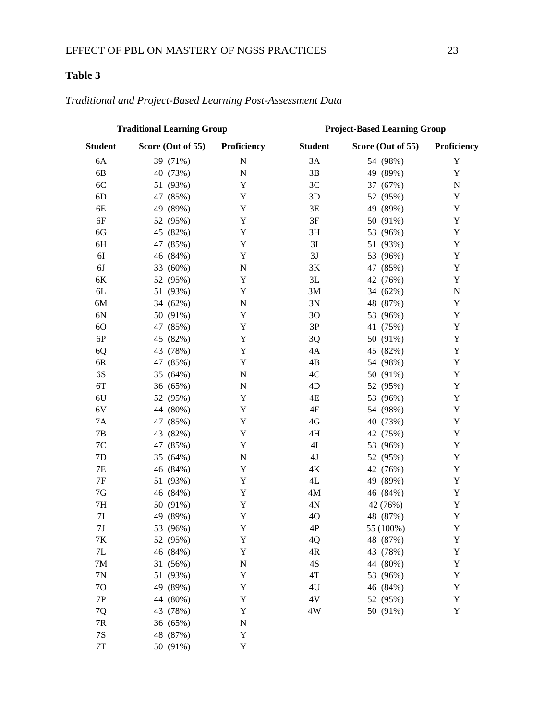## <span id="page-23-0"></span>**Table 3**

|                | <b>Traditional Learning Group</b> |                    |                | <b>Project-Based Learning Group</b> |             |
|----------------|-----------------------------------|--------------------|----------------|-------------------------------------|-------------|
| <b>Student</b> | Score (Out of 55)                 | Proficiency        | <b>Student</b> | Score (Out of 55)                   | Proficiency |
| 6A             | 39 (71%)                          | $\overline{N}$     | 3A             | 54 (98%)                            | Y           |
| 6B             | 40 (73%)                          | ${\bf N}$          | 3B             | 49 (89%)                            | $\mathbf Y$ |
| 6C             | 51 (93%)                          | $\mathbf Y$        | 3C             | 37 (67%)                            | ${\bf N}$   |
| 6D             | 47 (85%)                          | Y                  | 3D             | 52 (95%)                            | $\mathbf Y$ |
| 6E             | 49 (89%)                          | Y                  | 3E             | 49 (89%)                            | $\mathbf Y$ |
| 6F             | 52 (95%)                          | Y                  | 3F             | 50 (91%)                            | $\mathbf Y$ |
| 6G             | 45 (82%)                          | Y                  | 3H             | 53 (96%)                            | $\mathbf Y$ |
| 6H             | 47 (85%)                          | Y                  | $3\mathrm{I}$  | 51 (93%)                            | Y           |
| 6I             | 46 (84%)                          | Y                  | 3J             | 53 (96%)                            | $\mathbf Y$ |
| 6J             | 33 (60%)                          | ${\bf N}$          | $3K$           | 47 (85%)                            | $\mathbf Y$ |
| 6K             | 52 (95%)                          | Y                  | 3L             | 42 (76%)                            | $\mathbf Y$ |
| 6L             | 51 (93%)                          | Y                  | 3M             | 34 (62%)                            | ${\bf N}$   |
| 6M             | 34 (62%)                          | $\overline{\rm N}$ | 3N             | 48 (87%)                            | $\mathbf Y$ |
| 6N             | 50 (91%)                          | Y                  | 3O             | 53 (96%)                            | $\mathbf Y$ |
| 6O             | 47 (85%)                          | $\mathbf Y$        | 3P             | 41 (75%)                            | $\mathbf Y$ |
| 6P             | 45 (82%)                          | $\mathbf Y$        | 3Q             | 50 (91%)                            | $\mathbf Y$ |
| 6Q             | 43 (78%)                          | Y                  | 4A             | 45 (82%)                            | $\mathbf Y$ |
| 6R             | 47 (85%)                          | Y                  | 4B             | 54 (98%)                            | $\mathbf Y$ |
| 6S             | 35 (64%)                          | $\overline{\rm N}$ | 4C             | 50 (91%)                            | $\mathbf Y$ |
| 6T             | 36 (65%)                          | ${\bf N}$          | 4D             | 52 (95%)                            | Y           |
| 6U             | 52 (95%)                          | Y                  | 4E             | 53 (96%)                            | $\mathbf Y$ |
| 6V             | 44 (80%)                          | $\mathbf Y$        | 4F             | 54 (98%)                            | $\mathbf Y$ |
| 7A             | 47 (85%)                          | $\mathbf Y$        | $4G$           | 40 (73%)                            | $\mathbf Y$ |
| 7B             | 43 (82%)                          | Y                  | 4H             | 42 (75%)                            | $\mathbf Y$ |
| 7C             | (85%)<br>47                       | Y                  | 4I             | 53 (96%)                            | $\mathbf Y$ |
| 7D             | 35 (64%)                          | $\mathbf N$        | $4J$           | 52 (95%)                            | $\mathbf Y$ |
| 7E             | 46 (84%)                          | $\mathbf Y$        | $4\mathrm{K}$  | 42 (76%)                            | $\mathbf Y$ |
| $7\mathrm{F}$  | 51 (93%)                          | $\mathbf Y$        | 4L             | 49 (89%)                            | $\mathbf Y$ |
| $7\mathrm{G}$  | 46 (84%)                          | Y                  | $4M$           | 46 (84%)                            | $\mathbf Y$ |
| 7H             | 50 (91%)                          | Y                  | 4N             | 42 (76%)                            | $\mathbf Y$ |
| 7I             | 49 (89%)                          | Y                  | 4O             | 48 (87%)                            | $\mathbf Y$ |
| $7\mathrm{J}$  | 53 (96%)                          | Y                  | 4P             | 55 (100%)                           | $\mathbf Y$ |
| 7K             | 52 (95%)                          | $\mathbf Y$        | 4Q             | 48 (87%)                            | $\mathbf Y$ |
| $7\mathrm{L}$  | 46 (84%)                          | $\mathbf Y$        | $4R$           | 43 (78%)                            | $\mathbf Y$ |
| $7\mathrm{M}$  | 31 (56%)                          | $\mathbf N$        | $4S$           | 44 (80%)                            | $\mathbf Y$ |
| 7N             | 51 (93%)                          | $\mathbf Y$        | 4T             | 53 (96%)                            | $\mathbf Y$ |
| 70             | 49 (89%)                          | $\mathbf Y$        | 4U             | 46 (84%)                            | $\mathbf Y$ |
| $7\mathrm{P}$  | 44 (80%)                          | $\mathbf Y$        | $4\mathrm{V}$  | 52 (95%)                            | $\mathbf Y$ |
| 7Q             | 43 (78%)                          | $\mathbf Y$        | 4W             | 50 (91%)                            | $\mathbf Y$ |
| $7\mathrm{R}$  | 36 (65%)                          | $\mathbf N$        |                |                                     |             |
| $7\mathrm{S}$  | 48 (87%)                          | $\mathbf Y$        |                |                                     |             |
| $7\mathrm{T}$  | 50 (91%)                          | $\mathbf Y$        |                |                                     |             |

## <span id="page-23-1"></span>*Traditional and Project-Based Learning Post-Assessment Data*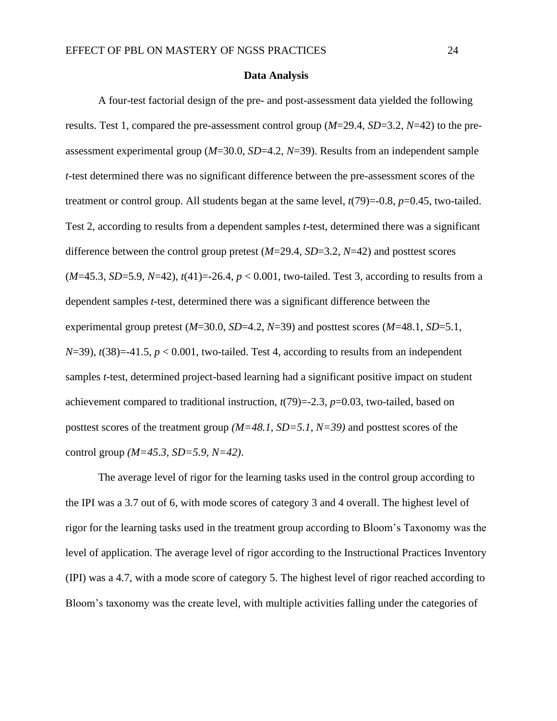#### **Data Analysis**

<span id="page-24-0"></span>A four-test factorial design of the pre- and post-assessment data yielded the following results. Test 1, compared the pre-assessment control group (*M*=29.4, *SD*=3.2, *N*=42) to the preassessment experimental group (*M*=30.0, *SD*=4.2, *N*=39). Results from an independent sample *t*-test determined there was no significant difference between the pre-assessment scores of the treatment or control group. All students began at the same level, *t*(79)=-0.8, *p*=0.45, two-tailed. Test 2, according to results from a dependent samples *t*-test, determined there was a significant difference between the control group pretest (*M*=29.4, *SD*=3.2, *N*=42) and posttest scores (*M*=45.3, *SD*=5.9, *N*=42), *t*(41)=-26.4, *p* < 0.001, two-tailed. Test 3, according to results from a dependent samples *t*-test, determined there was a significant difference between the experimental group pretest (*M*=30.0, *SD*=4.2, *N*=39) and posttest scores (*M*=48.1, *SD*=5.1,  $N=39$ ,  $t(38)=-41.5$ ,  $p < 0.001$ , two-tailed. Test 4, according to results from an independent samples *t*-test, determined project-based learning had a significant positive impact on student achievement compared to traditional instruction, *t*(79)=-2.3, *p*=0.03, two-tailed, based on posttest scores of the treatment group *(M=48.1, SD=5.1, N=39)* and posttest scores of the control group *(M=45.3, SD=5.9, N=42)*.

The average level of rigor for the learning tasks used in the control group according to the IPI was a 3.7 out of 6, with mode scores of category 3 and 4 overall. The highest level of rigor for the learning tasks used in the treatment group according to Bloom's Taxonomy was the level of application. The average level of rigor according to the Instructional Practices Inventory (IPI) was a 4.7, with a mode score of category 5. The highest level of rigor reached according to Bloom's taxonomy was the create level, with multiple activities falling under the categories of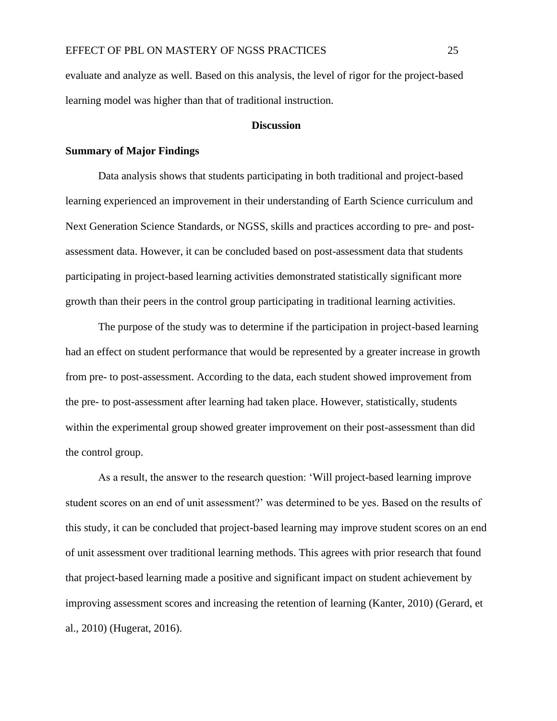evaluate and analyze as well. Based on this analysis, the level of rigor for the project-based learning model was higher than that of traditional instruction.

#### **Discussion**

#### <span id="page-25-1"></span><span id="page-25-0"></span>**Summary of Major Findings**

Data analysis shows that students participating in both traditional and project-based learning experienced an improvement in their understanding of Earth Science curriculum and Next Generation Science Standards, or NGSS, skills and practices according to pre- and postassessment data. However, it can be concluded based on post-assessment data that students participating in project-based learning activities demonstrated statistically significant more growth than their peers in the control group participating in traditional learning activities.

The purpose of the study was to determine if the participation in project-based learning had an effect on student performance that would be represented by a greater increase in growth from pre- to post-assessment. According to the data, each student showed improvement from the pre- to post-assessment after learning had taken place. However, statistically, students within the experimental group showed greater improvement on their post-assessment than did the control group.

As a result, the answer to the research question: 'Will project-based learning improve student scores on an end of unit assessment?' was determined to be yes. Based on the results of this study, it can be concluded that project-based learning may improve student scores on an end of unit assessment over traditional learning methods. This agrees with prior research that found that project-based learning made a positive and significant impact on student achievement by improving assessment scores and increasing the retention of learning (Kanter, 2010) (Gerard, et al., 2010) (Hugerat, 2016).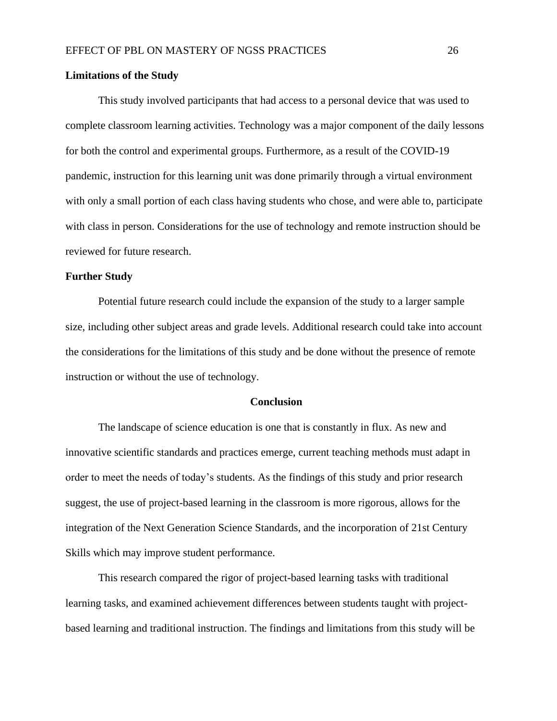#### <span id="page-26-0"></span>**Limitations of the Study**

This study involved participants that had access to a personal device that was used to complete classroom learning activities. Technology was a major component of the daily lessons for both the control and experimental groups. Furthermore, as a result of the COVID-19 pandemic, instruction for this learning unit was done primarily through a virtual environment with only a small portion of each class having students who chose, and were able to, participate with class in person. Considerations for the use of technology and remote instruction should be reviewed for future research.

#### <span id="page-26-1"></span>**Further Study**

Potential future research could include the expansion of the study to a larger sample size, including other subject areas and grade levels. Additional research could take into account the considerations for the limitations of this study and be done without the presence of remote instruction or without the use of technology.

#### **Conclusion**

<span id="page-26-2"></span>The landscape of science education is one that is constantly in flux. As new and innovative scientific standards and practices emerge, current teaching methods must adapt in order to meet the needs of today's students. As the findings of this study and prior research suggest, the use of project-based learning in the classroom is more rigorous, allows for the integration of the Next Generation Science Standards, and the incorporation of 21st Century Skills which may improve student performance.

This research compared the rigor of project-based learning tasks with traditional learning tasks, and examined achievement differences between students taught with projectbased learning and traditional instruction. The findings and limitations from this study will be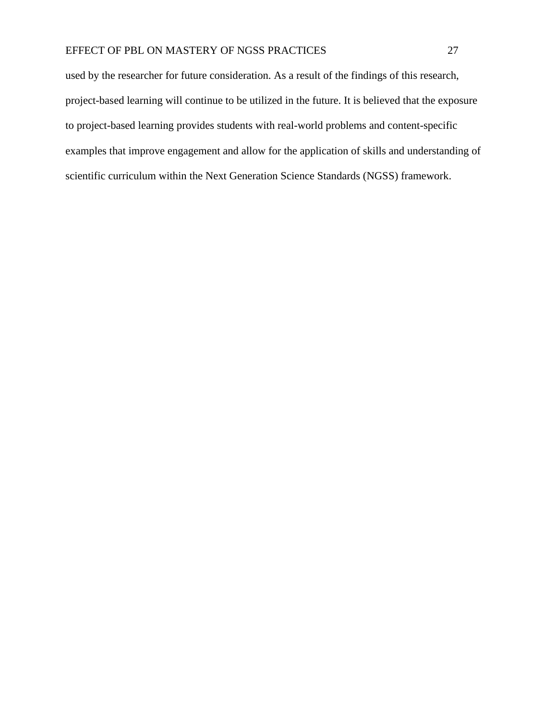used by the researcher for future consideration. As a result of the findings of this research, project-based learning will continue to be utilized in the future. It is believed that the exposure to project-based learning provides students with real-world problems and content-specific examples that improve engagement and allow for the application of skills and understanding of scientific curriculum within the Next Generation Science Standards (NGSS) framework.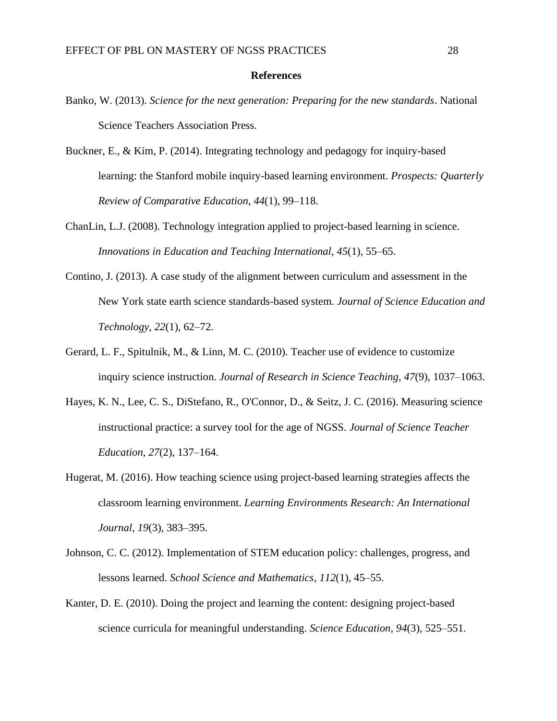#### **References**

- <span id="page-28-0"></span>Banko, W. (2013). *Science for the next generation: Preparing for the new standards*. National Science Teachers Association Press.
- Buckner, E., & Kim, P. (2014). Integrating technology and pedagogy for inquiry-based learning: the Stanford mobile inquiry-based learning environment. *Prospects: Quarterly Review of Comparative Education*, *44*(1), 99–118.
- ChanLin, L.J. (2008). Technology integration applied to project-based learning in science. *Innovations in Education and Teaching International*, *45*(1), 55–65.
- Contino, J. (2013). A case study of the alignment between curriculum and assessment in the New York state earth science standards-based system. *Journal of Science Education and Technology*, *22*(1), 62–72.
- Gerard, L. F., Spitulnik, M., & Linn, M. C. (2010). Teacher use of evidence to customize inquiry science instruction. *Journal of Research in Science Teaching*, *47*(9), 1037–1063.
- Hayes, K. N., Lee, C. S., DiStefano, R., O'Connor, D., & Seitz, J. C. (2016). Measuring science instructional practice: a survey tool for the age of NGSS. *Journal of Science Teacher Education*, *27*(2), 137–164.
- Hugerat, M. (2016). How teaching science using project-based learning strategies affects the classroom learning environment. *Learning Environments Research: An International Journal*, *19*(3), 383–395.
- Johnson, C. C. (2012). Implementation of STEM education policy: challenges, progress, and lessons learned. *School Science and Mathematics*, *112*(1), 45–55.
- Kanter, D. E. (2010). Doing the project and learning the content: designing project-based science curricula for meaningful understanding. *Science Education*, *94*(3), 525–551.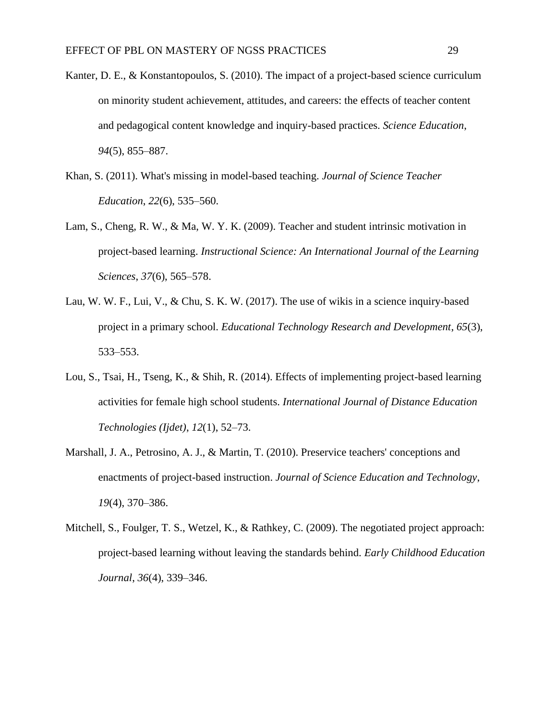- Kanter, D. E., & Konstantopoulos, S. (2010). The impact of a project-based science curriculum on minority student achievement, attitudes, and careers: the effects of teacher content and pedagogical content knowledge and inquiry-based practices. *Science Education*, *94*(5), 855–887.
- Khan, S. (2011). What's missing in model-based teaching. *Journal of Science Teacher Education*, *22*(6), 535–560.
- Lam, S., Cheng, R. W., & Ma, W. Y. K. (2009). Teacher and student intrinsic motivation in project-based learning. *Instructional Science: An International Journal of the Learning Sciences*, *37*(6), 565–578.
- Lau, W. W. F., Lui, V., & Chu, S. K. W. (2017). The use of wikis in a science inquiry-based project in a primary school. *Educational Technology Research and Development*, *65*(3), 533–553.
- Lou, S., Tsai, H., Tseng, K., & Shih, R. (2014). Effects of implementing project-based learning activities for female high school students. *International Journal of Distance Education Technologies (Ijdet)*, *12*(1), 52–73.
- Marshall, J. A., Petrosino, A. J., & Martin, T. (2010). Preservice teachers' conceptions and enactments of project-based instruction. *Journal of Science Education and Technology*, *19*(4), 370–386.
- Mitchell, S., Foulger, T. S., Wetzel, K., & Rathkey, C. (2009). The negotiated project approach: project-based learning without leaving the standards behind. *Early Childhood Education Journal*, *36*(4), 339–346.